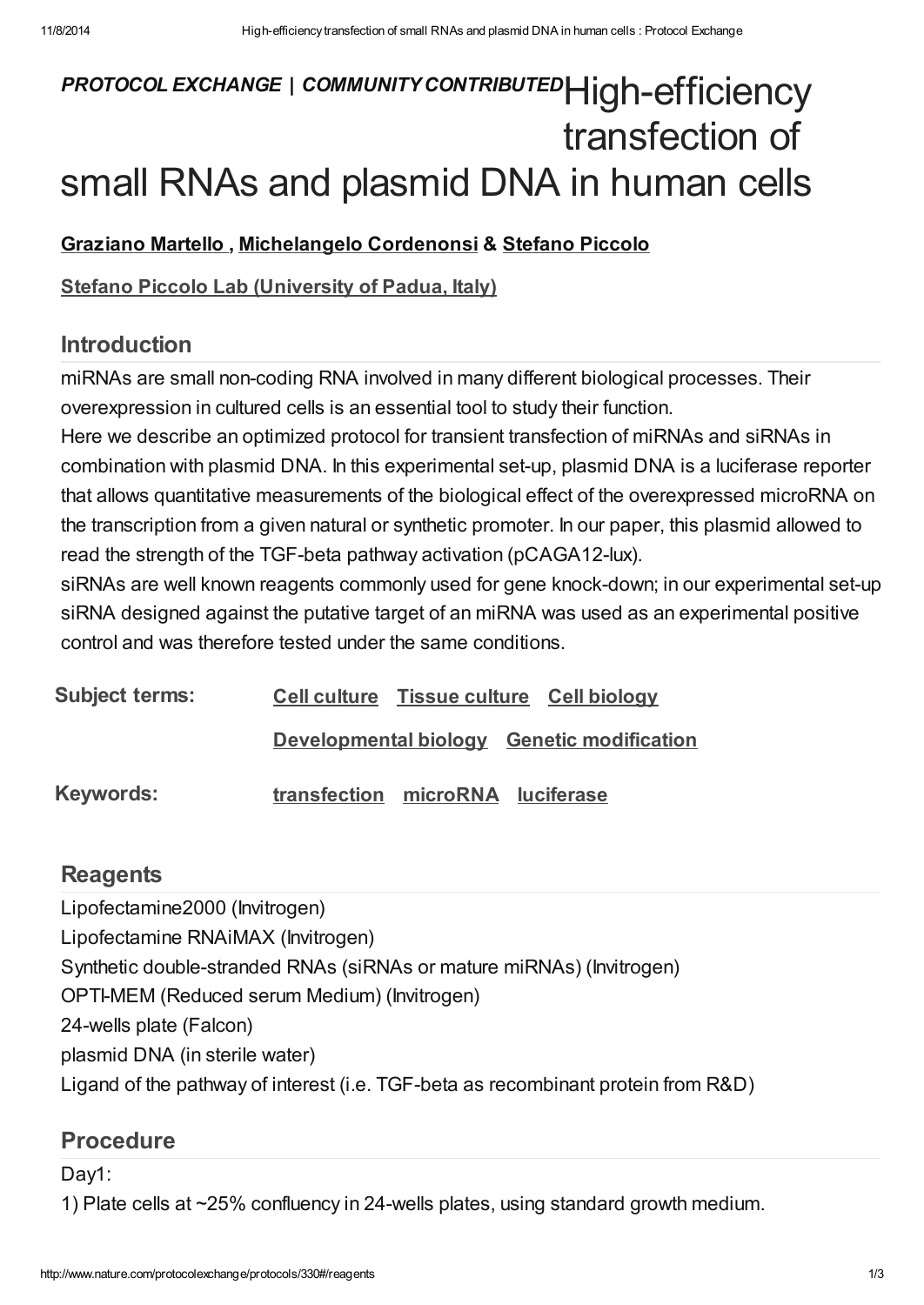# PROTOCOL EXCHANGE | COMMUNITY CONTRIBUTEDHigh-efficiency transfection of small RNAs and plasmid DNA in human cells

### [Graziano](javascript:;) Martello , [Michelangelo](javascript:;) Cordenonsi & [Stefano](javascript:;) Piccolo

#### Stefano Piccolo Lab [\(University](http://www.nature.com/protocolexchange/labgroups/174) of Padua, Italy)

## Introduction

miRNAs are small non-coding RNA involved in many different biological processes. Their overexpression in cultured cells is an essential tool to study their function.

Here we describe an optimized protocol for transient transfection of miRNAs and siRNAs in combination with plasmid DNA. In this experimental set-up, plasmid DNA is a luciferase reporter that allows quantitative measurements of the biological effect of the overexpressed microRNA on the transcription from a given natural or synthetic promoter. In our paper, this plasmid allowed to read the strength of the TGF-beta pathway activation (pCAGA12-lux).

siRNAs are well known reagents commonly used for gene knock-down; in our experimental set-up siRNA designed against the putative target of an miRNA was used as an experimental positive control and was therefore tested under the same conditions.

| <b>Subject terms:</b> |                                  | Cell culture Tissue culture Cell biology   |
|-----------------------|----------------------------------|--------------------------------------------|
|                       |                                  | Developmental biology Genetic modification |
| Keywords:             | transfection microRNA luciferase |                                            |

## **[Reagents](javascript:;)**

Lipofectamine2000 (Invitrogen)

Lipofectamine RNAiMAX (Invitrogen)

Synthetic double-stranded RNAs (siRNAs or mature miRNAs) (Invitrogen)

OPTI-MEM (Reduced serum Medium) (Invitrogen)

24-wells plate (Falcon)

plasmid DNA (in sterile water)

Ligand of the pathway of interest (i.e. TGF-beta as recombinant protein from R&D)

## [Procedure](javascript:;)

Day1:

1) Plate cells at ~25% confluency in 24-wells plates, using standard growth medium.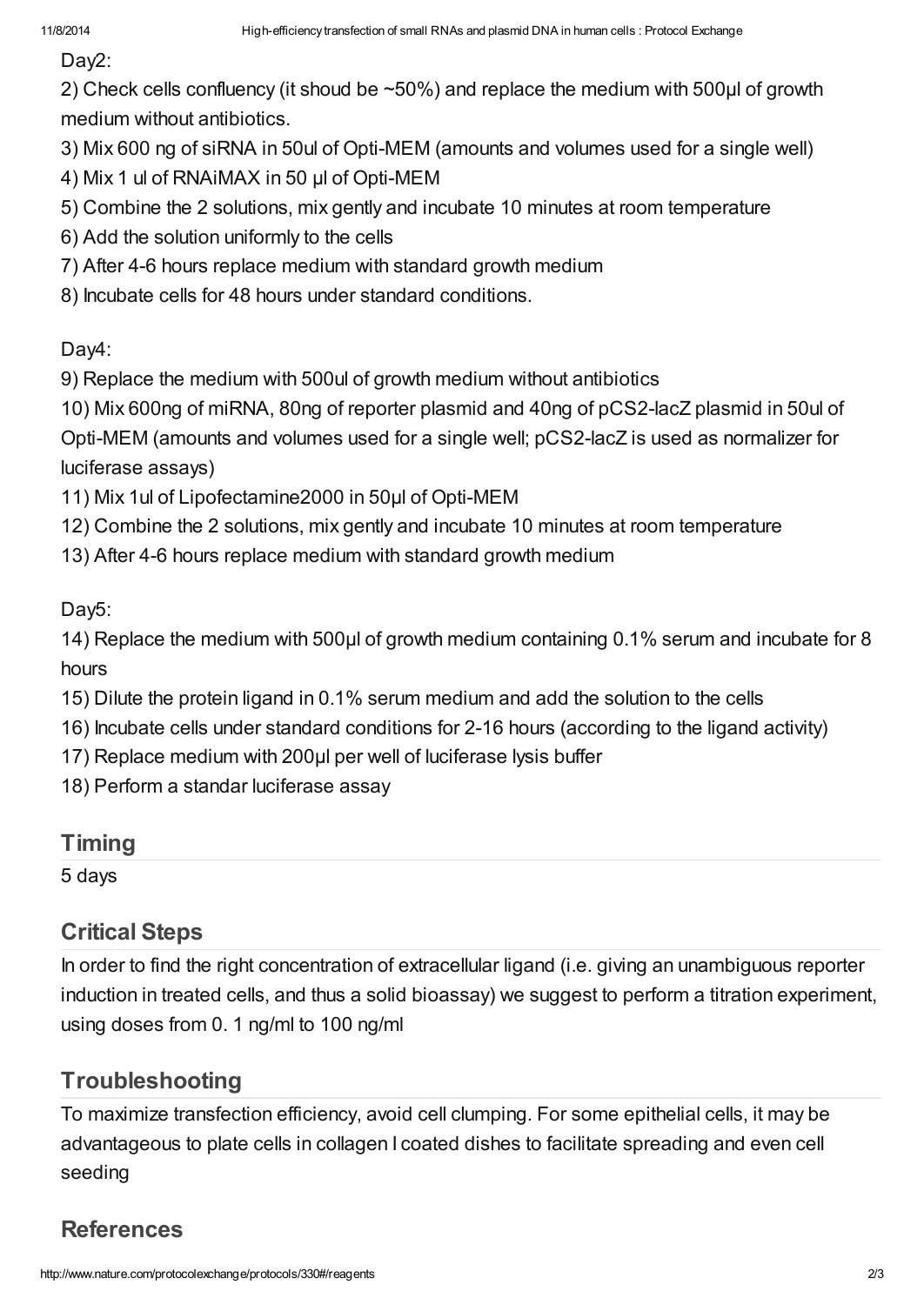Day<sub>2</sub>:

2) Check cells confluency (it shoud be ~50%) and replace the medium with 500μl of growth medium without antibiotics.

3) Mix 600 ng of siRNA in 50ul of Opti-MEM (amounts and volumes used for a single well)

4) Mix 1 ul of RNAiMAX in 50 μl of Opti-MEM

- 5) Combine the 2 solutions, mix gently and incubate 10 minutes at room temperature
- 6) Add the solution uniformly to the cells
- 7) After 4-6 hours replace medium with standard growth medium
- 8) Incubate cells for 48 hours under standard conditions.

Day4:

9) Replace the medium with 500ul of growth medium without antibiotics

10) Mix 600ng of miRNA, 80ng of reporter plasmid and 40ng of pCS2-lacZ plasmid in 50ul of

Opti-MEM (amounts and volumes used for a single well; pCS2-lacZ is used as normalizer for luciferase assays)

- 11) Mix 1ul of Lipofectamine2000 in 50μl of Opti-MEM
- 12) Combine the 2 solutions, mix gently and incubate 10 minutes at room temperature
- 13) After 4-6 hours replace medium with standard growth medium

Day5:

14) Replace the medium with 500μl of growth medium containing 0.1% serum and incubate for 8 hours

- 15) Dilute the protein ligand in 0.1% serum medium and add the solution to the cells
- 16) Incubate cells under standard conditions for 2-16 hours (according to the ligand activity)
- 17) Replace medium with 200µl per well of luciferase lysis buffer
- 18) Perform a standar luciferase assay

## **[Timing](javascript:;)**

5 days

# [Critical](javascript:;) Steps

In order to find the right concentration of extracellular ligand (i.e. giving an unambiguous reporter induction in treated cells, and thus a solid bioassay) we suggest to perform a titration experiment, using doses from 0. 1 ng/ml to 100 ng/ml

# **[Troubleshooting](javascript:;)**

To maximize transfection efficiency, avoid cell clumping. For some epithelial cells, it may be advantageous to plate cells in collagen I coated dishes to facilitate spreading and even cell seeding

# **[References](javascript:;)**